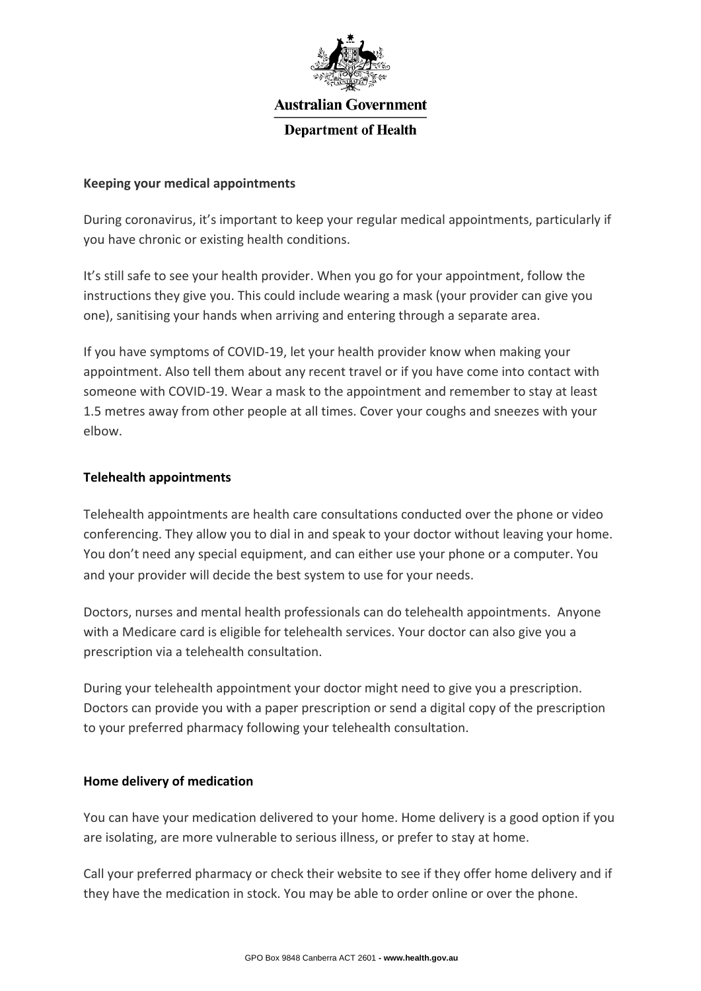

# **Australian Government**

### **Department of Health**

#### **Keeping your medical appointments**

During coronavirus, it's important to keep your regular medical appointments, particularly if you have chronic or existing health conditions.

It's still safe to see your health provider. When you go for your appointment, follow the instructions they give you. This could include wearing a mask (your provider can give you one), sanitising your hands when arriving and entering through a separate area.

If you have symptoms of COVID-19, let your health provider know when making your appointment. Also tell them about any recent travel or if you have come into contact with someone with COVID-19. Wear a mask to the appointment and remember to stay at least 1.5 metres away from other people at all times. Cover your coughs and sneezes with your elbow.

#### **Telehealth appointments**

Telehealth appointments are health care consultations conducted over the phone or video conferencing. They allow you to dial in and speak to your doctor without leaving your home. You don't need any special equipment, and can either use your phone or a computer. You and your provider will decide the best system to use for your needs.

Doctors, nurses and mental health professionals can do telehealth appointments. Anyone with a Medicare card is eligible for telehealth services. Your doctor can also give you a prescription via a telehealth consultation.

During your telehealth appointment your doctor might need to give you a prescription. Doctors can provide you with a paper prescription or send a digital copy of the prescription to your preferred pharmacy following your telehealth consultation.

## **Home delivery of medication**

You can have your medication delivered to your home. Home delivery is a good option if you are isolating, are more vulnerable to serious illness, or prefer to stay at home.

Call your preferred pharmacy or check their website to see if they offer home delivery and if they have the medication in stock. You may be able to order online or over the phone.